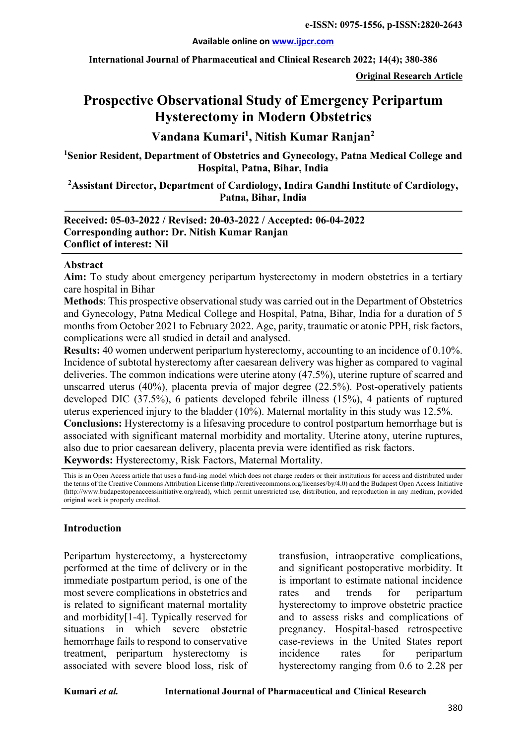#### **Available online on www.ijpcr.com**

**International Journal of Pharmaceutical and Clinical Research 2022; 14(4); 380-386**

**Original Research Article**

# **Prospective Observational Study of Emergency Peripartum Hysterectomy in Modern Obstetrics**

# **Vandana Kumari1 , Nitish Kumar Ranjan2**

**1 Senior Resident, Department of Obstetrics and Gynecology, Patna Medical College and Hospital, Patna, Bihar, India** 

**2 Assistant Director, Department of Cardiology, Indira Gandhi Institute of Cardiology, Patna, Bihar, India**

**Received: 05-03-2022 / Revised: 20-03-2022 / Accepted: 06-04-2022 Corresponding author: Dr. Nitish Kumar Ranjan Conflict of interest: Nil**

#### **Abstract**

**Aim:** To study about emergency peripartum hysterectomy in modern obstetrics in a tertiary care hospital in Bihar

**Methods**: This prospective observational study was carried out in the Department of Obstetrics and Gynecology, Patna Medical College and Hospital, Patna, Bihar, India for a duration of 5 months from October 2021 to February 2022. Age, parity, traumatic or atonic PPH, risk factors, complications were all studied in detail and analysed.

**Results:** 40 women underwent peripartum hysterectomy, accounting to an incidence of 0.10%. Incidence of subtotal hysterectomy after caesarean delivery was higher as compared to vaginal deliveries. The common indications were uterine atony (47.5%), uterine rupture of scarred and unscarred uterus (40%), placenta previa of major degree (22.5%). Post-operatively patients developed DIC (37.5%), 6 patients developed febrile illness (15%), 4 patients of ruptured uterus experienced injury to the bladder (10%). Maternal mortality in this study was 12.5%.

**Conclusions:** Hysterectomy is a lifesaving procedure to control postpartum hemorrhage but is associated with significant maternal morbidity and mortality. Uterine atony, uterine ruptures, also due to prior caesarean delivery, placenta previa were identified as risk factors. **Keywords:** Hysterectomy, Risk Factors, Maternal Mortality.

This is an Open Access article that uses a fund-ing model which does not charge readers or their institutions for access and distributed under the terms of the Creative Commons Attribution License (http://creativecommons.org/licenses/by/4.0) and the Budapest Open Access Initiative (http://www.budapestopenaccessinitiative.org/read), which permit unrestricted use, distribution, and reproduction in any medium, provided original work is properly credited.

#### **Introduction**

Peripartum hysterectomy, a hysterectomy performed at the time of delivery or in the immediate postpartum period, is one of the most severe complications in obstetrics and is related to significant maternal mortality and morbidity[1-4]. Typically reserved for situations in which severe obstetric hemorrhage fails to respond to conservative treatment, peripartum hysterectomy is associated with severe blood loss, risk of transfusion, intraoperative complications, and significant postoperative morbidity. It is important to estimate national incidence rates and trends for peripartum hysterectomy to improve obstetric practice and to assess risks and complications of pregnancy. Hospital-based retrospective case-reviews in the United States report incidence rates for peripartum hysterectomy ranging from 0.6 to 2.28 per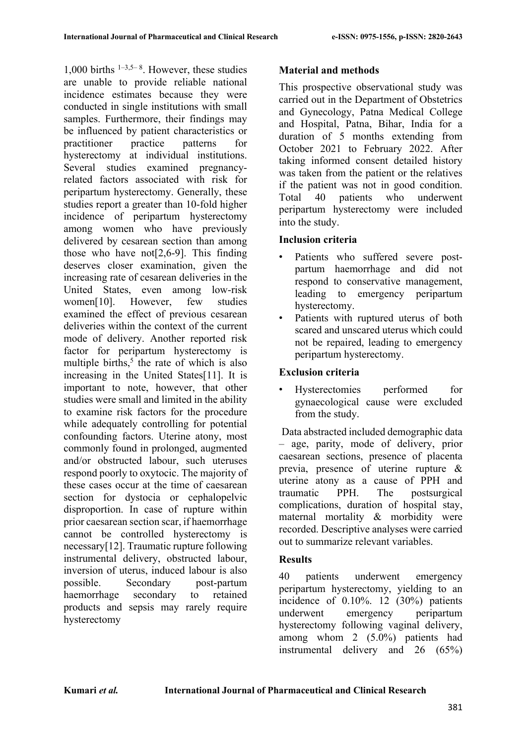1,000 births  $1-3.5-8$ . However, these studies are unable to provide reliable national incidence estimates because they were conducted in single institutions with small samples. Furthermore, their findings may be influenced by patient characteristics or practitioner practice patterns for hysterectomy at individual institutions. Several studies examined pregnancyrelated factors associated with risk for peripartum hysterectomy. Generally, these studies report a greater than 10-fold higher incidence of peripartum hysterectomy among women who have previously delivered by cesarean section than among those who have not[2,6-9]. This finding deserves closer examination, given the increasing rate of cesarean deliveries in the United States, even among low-risk women[10]. However, few studies examined the effect of previous cesarean deliveries within the context of the current mode of delivery. Another reported risk factor for peripartum hysterectomy is multiple births, $5$  the rate of which is also increasing in the United States[11]. It is important to note, however, that other studies were small and limited in the ability to examine risk factors for the procedure while adequately controlling for potential confounding factors. Uterine atony, most commonly found in prolonged, augmented and/or obstructed labour, such uteruses respond poorly to oxytocic. The majority of these cases occur at the time of caesarean section for dystocia or cephalopelvic disproportion. In case of rupture within prior caesarean section scar, if haemorrhage cannot be controlled hysterectomy is necessary[12]. Traumatic rupture following instrumental delivery, obstructed labour, inversion of uterus, induced labour is also possible. Secondary post-partum haemorrhage secondary to retained products and sepsis may rarely require hysterectomy

# **Material and methods**

This prospective observational study was carried out in the Department of Obstetrics and Gynecology, Patna Medical College and Hospital, Patna, Bihar, India for a duration of 5 months extending from October 2021 to February 2022. After taking informed consent detailed history was taken from the patient or the relatives if the patient was not in good condition. Total 40 patients who underwent peripartum hysterectomy were included into the study.

## **Inclusion criteria**

- Patients who suffered severe postpartum haemorrhage and did not respond to conservative management, leading to emergency peripartum hysterectomy.
- Patients with ruptured uterus of both scared and unscared uterus which could not be repaired, leading to emergency peripartum hysterectomy.

# **Exclusion criteria**

• Hysterectomies performed for gynaecological cause were excluded from the study.

Data abstracted included demographic data – age, parity, mode of delivery, prior caesarean sections, presence of placenta previa, presence of uterine rupture & uterine atony as a cause of PPH and traumatic PPH. The postsurgical complications, duration of hospital stay, maternal mortality & morbidity were recorded. Descriptive analyses were carried out to summarize relevant variables.

## **Results**

40 patients underwent emergency peripartum hysterectomy, yielding to an incidence of 0.10%. 12 (30%) patients underwent emergency peripartum hysterectomy following vaginal delivery, among whom 2 (5.0%) patients had instrumental delivery and 26 (65%)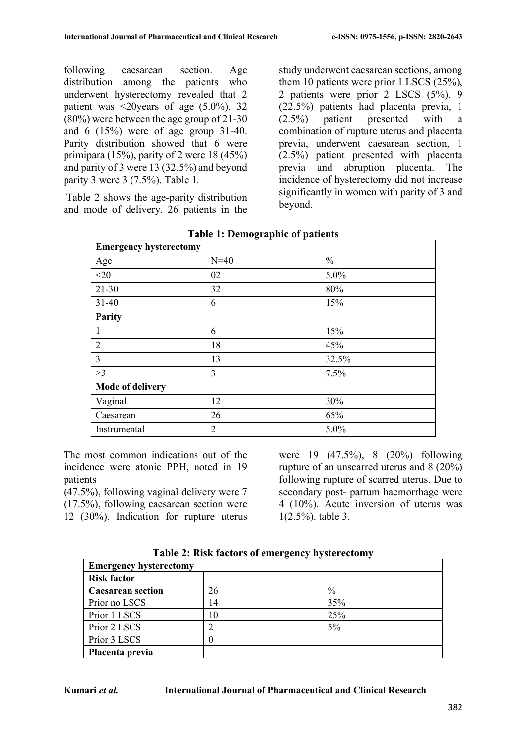following caesarean section. Age distribution among the patients who underwent hysterectomy revealed that 2 patient was  $\leq 20$ years of age  $(5.0\%)$ , 32 (80%) were between the age group of 21-30 and 6 (15%) were of age group 31-40. Parity distribution showed that 6 were primipara (15%), parity of 2 were 18 (45%) and parity of 3 were 13 (32.5%) and beyond parity 3 were 3 (7.5%). Table 1.

Table 2 shows the age-parity distribution and mode of delivery. 26 patients in the study underwent caesarean sections, among them 10 patients were prior 1 LSCS (25%), 2 patients were prior 2 LSCS (5%). 9 (22.5%) patients had placenta previa, 1 (2.5%) patient presented with a combination of rupture uterus and placenta previa, underwent caesarean section, 1 (2.5%) patient presented with placenta previa and abruption placenta. The incidence of hysterectomy did not increase significantly in women with parity of 3 and beyond.

| <b>Emergency hysterectomy</b> |                |               |
|-------------------------------|----------------|---------------|
| Age                           | $N=40$         | $\frac{0}{0}$ |
| $<$ 20                        | 02             | 5.0%          |
| $21 - 30$                     | 32             | 80%           |
| $31 - 40$                     | 6              | 15%           |
| Parity                        |                |               |
| 1                             | 6              | 15%           |
| $\overline{2}$                | 18             | 45%           |
| 3                             | 13             | 32.5%         |
| >3                            | 3              | 7.5%          |
| <b>Mode of delivery</b>       |                |               |
| Vaginal                       | 12             | 30%           |
| Caesarean                     | 26             | 65%           |
| Instrumental                  | $\overline{2}$ | 5.0%          |

**Table 1: Demographic of patients**

The most common indications out of the incidence were atonic PPH, noted in 19 patients

(47.5%), following vaginal delivery were 7 (17.5%), following caesarean section were 12 (30%). Indication for rupture uterus were 19 (47.5%), 8 (20%) following rupture of an unscarred uterus and 8 (20%) following rupture of scarred uterus. Due to secondary post- partum haemorrhage were 4 (10%). Acute inversion of uterus was 1(2.5%). table 3.

| <b>Emergency hysterectomy</b> |    |       |
|-------------------------------|----|-------|
| <b>Risk factor</b>            |    |       |
| <b>Caesarean section</b>      | 26 | $\%$  |
| Prior no LSCS                 | 14 | 35%   |
| Prior 1 LSCS                  | 10 | 25%   |
| Prior 2 LSCS                  |    | $5\%$ |
| Prior 3 LSCS                  | 0  |       |
| Placenta previa               |    |       |

**Table 2: Risk factors of emergency hysterectomy**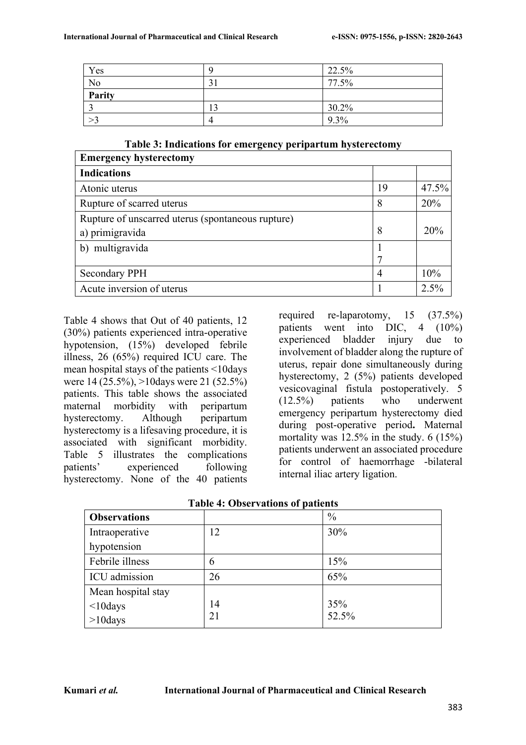| Yes            |   | 22.5%    |
|----------------|---|----------|
| N <sub>o</sub> |   | 77.5%    |
| Parity         |   |          |
|                | ി | $30.2\%$ |
|                |   | $9.3\%$  |

**Table 3: Indications for emergency peripartum hysterectomy**

| <b>Emergency hysterectomy</b>                     |    |         |
|---------------------------------------------------|----|---------|
| <b>Indications</b>                                |    |         |
| Atonic uterus                                     | 19 | 47.5%   |
| Rupture of scarred uterus                         | 8  | 20%     |
| Rupture of unscarred uterus (spontaneous rupture) |    |         |
| a) primigravida                                   | 8  | 20%     |
| b) multigravida                                   |    |         |
|                                                   | 7  |         |
| <b>Secondary PPH</b>                              | 4  | 10%     |
| Acute inversion of uterus                         |    | $2.5\%$ |

Table 4 shows that Out of 40 patients, 12 (30%) patients experienced intra-operative hypotension, (15%) developed febrile illness, 26 (65%) required ICU care. The mean hospital stays of the patients <10days were 14 (25.5%), >10days were 21 (52.5%) patients. This table shows the associated maternal morbidity with peripartum hysterectomy. Although peripartum hysterectomy is a lifesaving procedure, it is associated with significant morbidity. Table 5 illustrates the complications patients' experienced following hysterectomy. None of the 40 patients

required re-laparotomy, 15 (37.5%) patients went into DIC, 4 (10%) experienced bladder injury due to involvement of bladder along the rupture of uterus, repair done simultaneously during hysterectomy, 2 (5%) patients developed vesicovaginal fistula postoperatively. 5 (12.5%) patients who underwent emergency peripartum hysterectomy died during post-operative period**.** Maternal mortality was 12.5% in the study. 6 (15%) patients underwent an associated procedure for control of haemorrhage -bilateral internal iliac artery ligation.

| <b>Observations</b> |    | $\frac{0}{0}$ |
|---------------------|----|---------------|
| Intraoperative      | 12 | 30%           |
| hypotension         |    |               |
| Febrile illness     | 6  | 15%           |
| ICU admission       | 26 | 65%           |
| Mean hospital stay  |    |               |
| $<$ 10days          | 14 | 35%           |
| $>10$ days          | 21 | 52.5%         |

| <b>Table 4: Observations of patients</b> |  |
|------------------------------------------|--|
|                                          |  |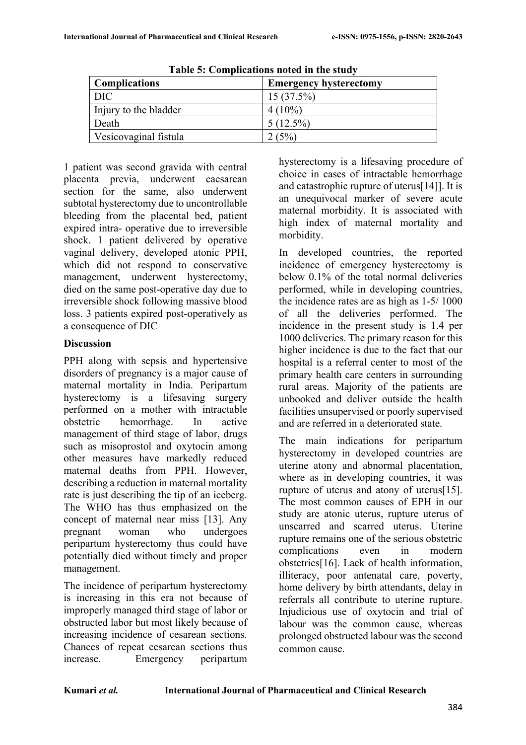| Table 3. Complications hoted in the study |                               |  |
|-------------------------------------------|-------------------------------|--|
| <b>Complications</b>                      | <b>Emergency hysterectomy</b> |  |
| DIC.                                      | $15(37.5\%)$                  |  |
| Injury to the bladder                     | $4(10\%)$                     |  |
| Death                                     | $5(12.5\%)$                   |  |
| Vesicovaginal fistula                     | 2(5%)                         |  |

**Table 5: Complications noted in the study**

1 patient was second gravida with central placenta previa, underwent caesarean section for the same, also underwent subtotal hysterectomy due to uncontrollable bleeding from the placental bed, patient expired intra- operative due to irreversible shock. 1 patient delivered by operative vaginal delivery, developed atonic PPH, which did not respond to conservative management, underwent hysterectomy, died on the same post-operative day due to irreversible shock following massive blood loss. 3 patients expired post-operatively as a consequence of DIC

#### **Discussion**

PPH along with sepsis and hypertensive disorders of pregnancy is a major cause of maternal mortality in India. Peripartum hysterectomy is a lifesaving surgery performed on a mother with intractable obstetric hemorrhage. In active management of third stage of labor, drugs such as misoprostol and oxytocin among other measures have markedly reduced maternal deaths from PPH. However, describing a reduction in maternal mortality rate is just describing the tip of an iceberg. The WHO has thus emphasized on the concept of maternal near miss [13]. Any pregnant woman who undergoes peripartum hysterectomy thus could have potentially died without timely and proper management.

The incidence of peripartum hysterectomy is increasing in this era not because of improperly managed third stage of labor or obstructed labor but most likely because of increasing incidence of cesarean sections. Chances of repeat cesarean sections thus increase. Emergency peripartum

hysterectomy is a lifesaving procedure of choice in cases of intractable hemorrhage and catastrophic rupture of uterus[14]]. It is an unequivocal marker of severe acute maternal morbidity. It is associated with high index of maternal mortality and morbidity.

In developed countries, the reported incidence of emergency hysterectomy is below 0.1% of the total normal deliveries performed, while in developing countries, the incidence rates are as high as 1-5/ 1000 of all the deliveries performed. The incidence in the present study is 1.4 per 1000 deliveries. The primary reason for this higher incidence is due to the fact that our hospital is a referral center to most of the primary health care centers in surrounding rural areas. Majority of the patients are unbooked and deliver outside the health facilities unsupervised or poorly supervised and are referred in a deteriorated state.

The main indications for peripartum hysterectomy in developed countries are uterine atony and abnormal placentation, where as in developing countries, it was rupture of uterus and atony of uterus[15]. The most common causes of EPH in our study are atonic uterus, rupture uterus of unscarred and scarred uterus. Uterine rupture remains one of the serious obstetric complications even in modern obstetrics[16]. Lack of health information, illiteracy, poor antenatal care, poverty, home delivery by birth attendants, delay in referrals all contribute to uterine rupture. Injudicious use of oxytocin and trial of labour was the common cause, whereas prolonged obstructed labour was the second common cause.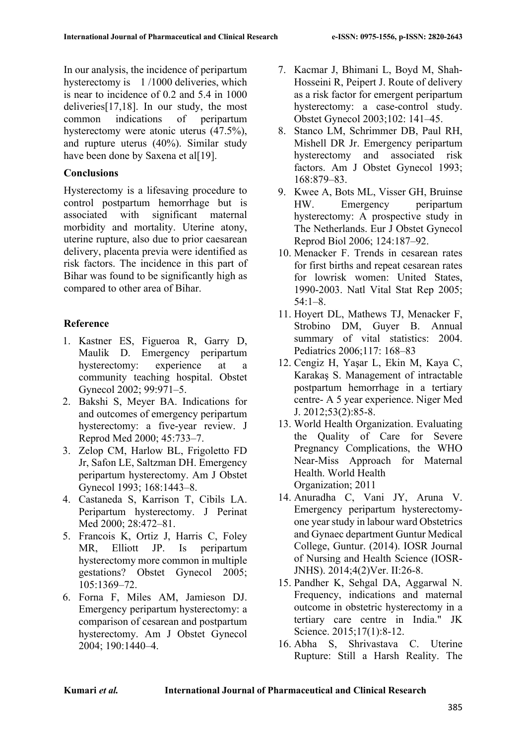In our analysis, the incidence of peripartum hysterectomy is 1 /1000 deliveries, which is near to incidence of 0.2 and 5.4 in 1000 deliveries[17,18]. In our study, the most common indications of peripartum hysterectomy were atonic uterus (47.5%), and rupture uterus (40%). Similar study have been done by Saxena et al[19].

## **Conclusions**

Hysterectomy is a lifesaving procedure to control postpartum hemorrhage but is associated with significant maternal morbidity and mortality. Uterine atony, uterine rupture, also due to prior caesarean delivery, placenta previa were identified as risk factors. The incidence in this part of Bihar was found to be significantly high as compared to other area of Bihar.

## **Reference**

- 1. Kastner ES, Figueroa R, Garry D, Maulik D. Emergency peripartum hysterectomy: experience at a community teaching hospital. Obstet Gynecol 2002; 99:971–5.
- 2. Bakshi S, Meyer BA. Indications for and outcomes of emergency peripartum hysterectomy: a five-year review. J Reprod Med 2000; 45:733–7.
- 3. Zelop CM, Harlow BL, Frigoletto FD Jr, Safon LE, Saltzman DH. Emergency peripartum hysterectomy. Am J Obstet Gynecol 1993; 168:1443–8.
- 4. Castaneda S, Karrison T, Cibils LA. Peripartum hysterectomy. J Perinat Med 2000; 28:472–81.
- 5. Francois K, Ortiz J, Harris C, Foley MR, Elliott JP. Is peripartum hysterectomy more common in multiple gestations? Obstet Gynecol 2005; 105:1369–72.
- 6. Forna F, Miles AM, Jamieson DJ. Emergency peripartum hysterectomy: a comparison of cesarean and postpartum hysterectomy. Am J Obstet Gynecol 2004; 190:1440–4.
- 7. Kacmar J, Bhimani L, Boyd M, Shah-Hosseini R, Peipert J. Route of delivery as a risk factor for emergent peripartum hysterectomy: a case-control study. Obstet Gynecol 2003;102: 141–45.
- 8. Stanco LM, Schrimmer DB, Paul RH, Mishell DR Jr. Emergency peripartum hysterectomy and associated risk factors. Am J Obstet Gynecol 1993; 168:879–83.
- 9. Kwee A, Bots ML, Visser GH, Bruinse HW. Emergency peripartum hysterectomy: A prospective study in The Netherlands. Eur J Obstet Gynecol Reprod Biol 2006; 124:187–92.
- 10. Menacker F. Trends in cesarean rates for first births and repeat cesarean rates for lowrisk women: United States, 1990-2003. Natl Vital Stat Rep 2005; 54:1–8.
- 11. Hoyert DL, Mathews TJ, Menacker F, Strobino DM, Guyer B. Annual summary of vital statistics: 2004. Pediatrics 2006;117: 168–83
- 12. Cengiz H, Yaşar L, Ekin M, Kaya C, Karakaş S. Management of intractable postpartum hemorrhage in a tertiary centre- A 5 year experience. Niger Med J. 2012;53(2):85-8.
- 13. World Health Organization. Evaluating the Quality of Care for Severe Pregnancy Complications, the WHO Near-Miss Approach for Maternal Health. World Health Organization; 2011
- 14. Anuradha C, Vani JY, Aruna V. Emergency peripartum hysterectomyone year study in labour ward Obstetrics and Gynaec department Guntur Medical College, Guntur. (2014). IOSR Journal of Nursing and Health Science (IOSR-JNHS). 2014;4(2)Ver. II:26-8.
- 15. Pandher K, Sehgal DA, Aggarwal N. Frequency, indications and maternal outcome in obstetric hysterectomy in a tertiary care centre in India." JK Science. 2015;17(1):8-12.
- 16. Abha S, Shrivastava C. Uterine Rupture: Still a Harsh Reality. The